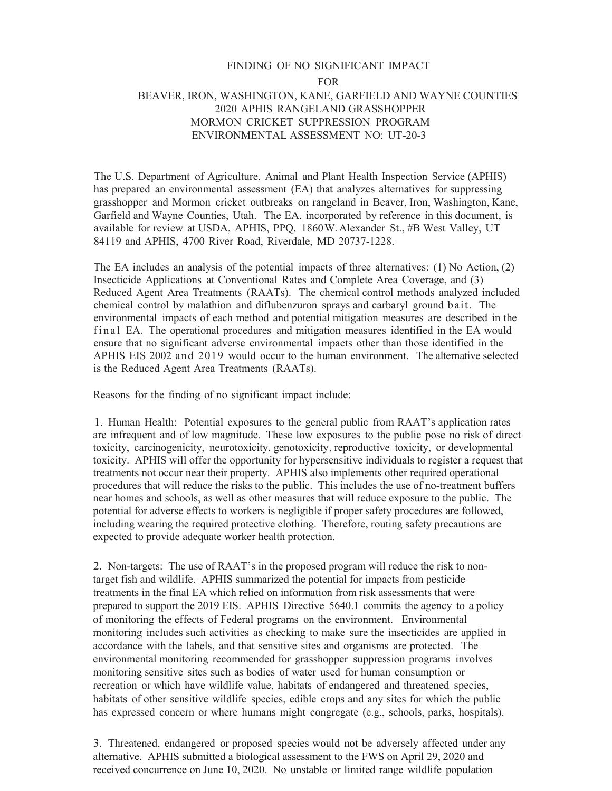## FINDING OF NO SIGNIFICANT IMPACT FOR BEAVER, IRON, WASHINGTON, KANE, GARFIELD AND WAYNE COUNTIES 2020 APHIS RANGELAND GRASSHOPPER MORMON CRICKET SUPPRESSION PROGRAM ENVIRONMENTAL ASSESSMENT NO: UT-20-3

The U.S. Department of Agriculture, Animal and Plant Health Inspection Service (APHIS) has prepared an environmental assessment (EA) that analyzes alternatives for suppressing grasshopper and Mormon cricket outbreaks on rangeland in Beaver, Iron, Washington, Kane, Garfield and Wayne Counties, Utah. The EA, incorporated by reference in this document, is available for review at USDA, APHIS, PPQ, 1860W. Alexander St., #B West Valley, UT 84119 and APHIS, 4700 River Road, Riverdale, MD 20737-1228.

The EA includes an analysis of the potential impacts of three alternatives: (1) No Action, (2) Insecticide Applications at Conventional Rates and Complete Area Coverage, and (3) Reduced Agent Area Treatments (RAATs). The chemical control methods analyzed included chemical control by malathion and diflubenzuron sprays and carbaryl ground bait. The environmental impacts of each method and potential mitigation measures are described in the final EA. The operational procedures and mitigation measures identified in the EA would ensure that no significant adverse environmental impacts other than those identified in the APHIS EIS 2002 and 2019 would occur to the human environment. The alternative selected is the Reduced Agent Area Treatments (RAATs).

Reasons for the finding of no significant impact include:

1. Human Health: Potential exposures to the general public from RAAT's application rates are infrequent and of low magnitude. These low exposures to the public pose no risk of direct toxicity, carcinogenicity, neurotoxicity, genotoxicity, reproductive toxicity, or developmental toxicity. APHIS will offer the opportunity for hypersensitive individuals to register a request that treatments not occur near their property. APHIS also implements other required operational procedures that will reduce the risks to the public. This includes the use of no-treatment buffers near homes and schools, as well as other measures that will reduce exposure to the public. The potential for adverse effects to workers is negligible if proper safety procedures are followed, including wearing the required protective clothing. Therefore, routing safety precautions are expected to provide adequate worker health protection.

2. Non-targets: The use of RAAT's in the proposed program will reduce the risk to nontarget fish and wildlife. APHIS summarized the potential for impacts from pesticide treatments in the final EA which relied on information from risk assessments that were prepared to support the 2019 EIS. APHIS Directive 5640.1 commits the agency to a policy of monitoring the effects of Federal programs on the environment. Environmental monitoring includes such activities as checking to make sure the insecticides are applied in accordance with the labels, and that sensitive sites and organisms are protected. The environmental monitoring recommended for grasshopper suppression programs involves monitoring sensitive sites such as bodies of water used for human consumption or recreation or which have wildlife value, habitats of endangered and threatened species, habitats of other sensitive wildlife species, edible crops and any sites for which the public has expressed concern or where humans might congregate (e.g., schools, parks, hospitals).

3. Threatened, endangered or proposed species would not be adversely affected under any alternative. APHIS submitted a biological assessment to the FWS on April 29, 2020 and received concurrence on June 10, 2020. No unstable or limited range wildlife population